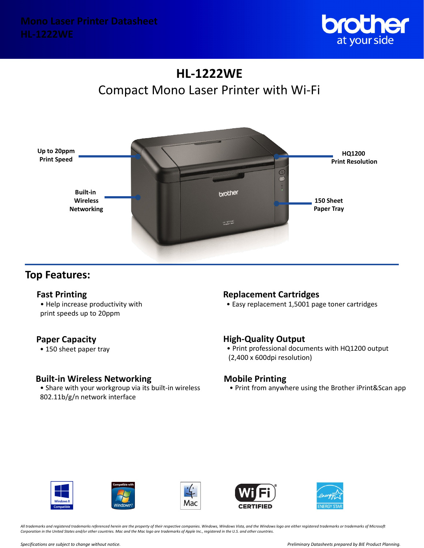

# **HL-1222WE** Compact Mono Laser Printer with Wi-Fi



## **Top Features:**

• Help increase productivity with print speeds up to 20ppm

## **Paper Capacity**

• 150 sheet paper tray

## **Built-in Wireless Networking**

• Share with your workgroup via its built-in wireless 802.11b/g/n network interface

## **Fast Printing Replacement Cartridges**

• Easy replacement 1,5001 page toner cartridges

## **High-Quality Output**

• Print professional documents with HQ1200 output (2,400 x 600dpi resolution)

## **Mobile Printing**

• Print from anywhere using the Brother iPrint&Scan app











*All trademarks and registered trademarks referenced herein are the property of their respective companies. Windows, Windows Vista, and the Windows logo are either registered trademarks or trademarks of Microsoft Corporation in the United States and/or other countries. Mac and the Mac logo are trademarks of Apple Inc., registered in the U.S. and other countries.*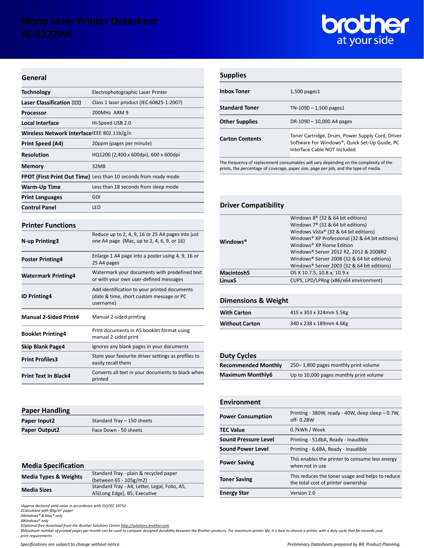

#### **General**

| <b>Technology</b>                                                | Electrophotographic Laser Printer        |
|------------------------------------------------------------------|------------------------------------------|
| Laser Classification 000                                         | Class 1 laser product (IEC 60825-1:2007) |
| <b>Processor</b>                                                 | 200MHz ARM 9                             |
| Local Interface                                                  | Hi-Speed USB 2.0                         |
| Wireless Network Interface IEEE 802.11b/g/n                      |                                          |
| Print Speed (A4)                                                 | 20ppm (pages per minute)                 |
| <b>Resolution</b>                                                | HQ1200 (2,400 x 600dpi), 600 x 600dpi    |
| Memory                                                           | 32MB                                     |
| FPOT (First Print Out Time) Less than 10 seconds from ready mode |                                          |
| Warm-Up Time                                                     | Less than 18 seconds from sleep mode     |
| <b>Print Languages</b>                                           | GDI                                      |
| <b>Control Panel</b>                                             | LED                                      |

#### **Printer Functions**

| <b>N-up Printing3</b>        | Reduce up to 2, 4, 9, 16 or 25 A4 pages into just<br>one A4 page (Mac, up to 2, 4, 6, 9, or 16)       |
|------------------------------|-------------------------------------------------------------------------------------------------------|
| <b>Poster Printing4</b>      | Enlarge 1 A4 page into a poster using 4, 9, 16 or<br>25 A4 pages                                      |
| <b>Watermark Printing4</b>   | Watermark your documents with predefined text<br>or with your own user-defined messages               |
| <b>ID Printing4</b>          | Add identification to your printed documents<br>(date & time, short custom message or PC<br>username) |
| <b>Manual 2-Sided Print4</b> | Manual 2-sided printing                                                                               |
| <b>Booklet Printing4</b>     | Print documents in A5 booklet format using<br>manual 2-sided print                                    |
| <b>Skip Blank Page4</b>      | Ignores any blank pages in your documents                                                             |
| <b>Print Profiles3</b>       | Store your favourite driver settings as profiles to<br>easily recall them                             |
| <b>Print Text In Black4</b>  | Converts all text in your documents to black when                                                     |

## **Supplies**

| <b>Inbox Toner</b>                                                                                              | $1,500$ pages $1$                                                                                                                 |
|-----------------------------------------------------------------------------------------------------------------|-----------------------------------------------------------------------------------------------------------------------------------|
| <b>Standard Toner</b>                                                                                           | $TN-1090 - 1,500$ pages1                                                                                                          |
| <b>Other Supplies</b>                                                                                           | DR-1090 - 10,000 A4 pages                                                                                                         |
| <b>Carton Contents</b>                                                                                          | Toner Cartridge, Drum, Power Supply Cord, Driver<br>Software For Windows®, Quick Set-Up Guide, PC<br>Interface Cable NOT Included |
| The formation of analysis and constructed because the could consider the book of the consideration of the const |                                                                                                                                   |

The frequency of replacement consumables will vary depending on the complexity of the prints, the percentage of coverage, paper size, page per job, and the type of media.

### **Driver Compatibility**

| <b>Windows®</b>   | Windows 8 <sup>®</sup> (32 & 64 bit editions)   |
|-------------------|-------------------------------------------------|
|                   | Windows 7 <sup>®</sup> (32 & 64 bit editions)   |
|                   | Windows Vista® (32 & 64 bit editions)           |
|                   | Windows® XP Professional (32 & 64 bit editions) |
|                   | Windows® XP Home Edition                        |
|                   | Windows® Server 2012 R2, 2012 & 2008R2          |
|                   | Windows® Server 2008 (32 & 64 bit editions)     |
|                   | Windows® Server 2003 (32 & 64 bit editions)     |
| <b>Macintosh5</b> | OS X 10.7.5, 10.8.x, 10.9.x                     |
| Linux5            | CUPS, LPD/LPRng (x86/x64 environment)           |
|                   |                                                 |

### **Dimensions & Weight**

| <b>With Carton</b>    | 415 x 303 x 324mm 5.5Kg |
|-----------------------|-------------------------|
| <b>Without Carton</b> | 340 x 238 x 189mm 4.6Kg |

### **Duty Cycles**

| <b>Recommended Monthly</b> | 250-1,800 pages monthly print volume    |
|----------------------------|-----------------------------------------|
| <b>Maximum Monthly6</b>    | Up to 10,000 pages monthly print volume |

| <b>Environment</b>       |                                                                                         |
|--------------------------|-----------------------------------------------------------------------------------------|
| <b>Power Consumption</b> | Printing - 380W, ready - 40W, deep sleep - 0.7W,<br>$off-0.28W$                         |
| <b>TEC Value</b>         | 0.7kWh / Week                                                                           |
| Sound Pressure Level     | Printing - 51dbA, Ready - Inaudible                                                     |
| Sound Power Level        | Printing - 6.6BA, Ready - Inaudible                                                     |
| <b>Power Saving</b>      | This enables the printer to consume less energy<br>when not in use                      |
| <b>Toner Saving</b>      | This reduces the toner usage and helps to reduce<br>the total cost of printer ownership |
| <b>Energy Star</b>       | Version 2.0                                                                             |

#### **Paper Handling**

| Paper Input2         | Standard Tray $-150$ sheets |
|----------------------|-----------------------------|
| <b>Paper Output2</b> | Face Down - 50 sheets       |

| <b>Media Specification</b>       |                                               |
|----------------------------------|-----------------------------------------------|
| <b>Media Types &amp; Weights</b> | Standard Tray - plain & recycled paper        |
|                                  | (between 65 - 105g/m2)                        |
| <b>Media Sizes</b>               | Standard Tray - A4, Letter, Legal, Folio, A5, |
|                                  | A5(Long Edge), B5, Executive                  |
|                                  |                                               |

*1Approx declared yield value in accordance with ISO/IEC 19752 2Calculated with 80g/m² paper 3Windows® & Mac® only*

*4Windows® only*

5Optional free download from the Brother Solutions Centre <u>http://solutions.brother.com</u><br>6Maximum number of printed pages per month can be used to compare designed durability between like Brother products. For maximum prin *print requirements*